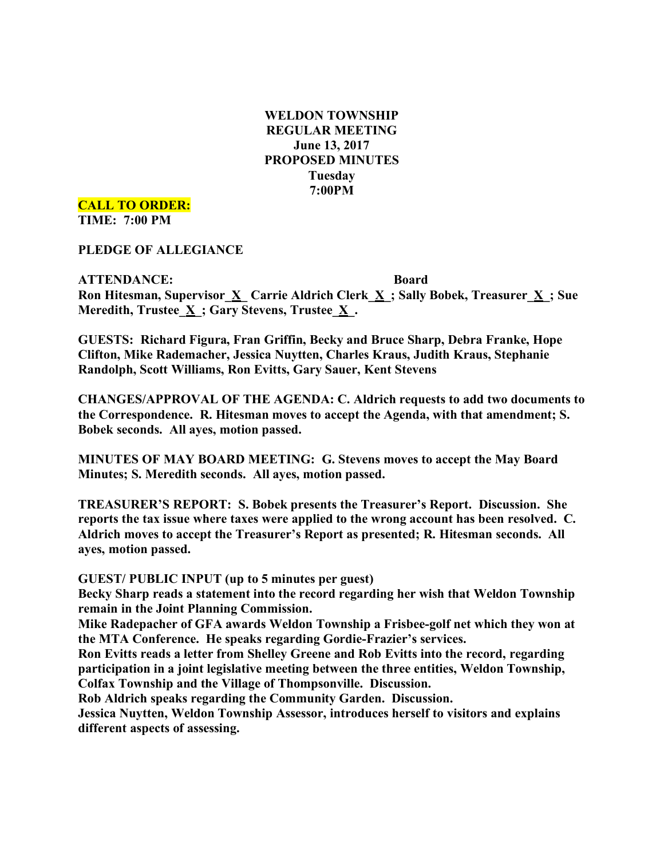**WELDON TOWNSHIP REGULAR MEETING June 13, 2017 PROPOSED MINUTES Tuesday 7:00PM**

**CALL TO ORDER: TIME: 7:00 PM**

**PLEDGE OF ALLEGIANCE**

**ATTENDANCE: Board Ron Hitesman, Supervisor\_X\_ Carrie Aldrich Clerk\_X\_; Sally Bobek, Treasurer\_X\_; Sue Meredith, Trustee\_X\_; Gary Stevens, Trustee\_X\_.**

**GUESTS: Richard Figura, Fran Griffin, Becky and Bruce Sharp, Debra Franke, Hope Clifton, Mike Rademacher, Jessica Nuytten, Charles Kraus, Judith Kraus, Stephanie Randolph, Scott Williams, Ron Evitts, Gary Sauer, Kent Stevens**

**CHANGES/APPROVAL OF THE AGENDA: C. Aldrich requests to add two documents to the Correspondence. R. Hitesman moves to accept the Agenda, with that amendment; S. Bobek seconds. All ayes, motion passed.**

**MINUTES OF MAY BOARD MEETING: G. Stevens moves to accept the May Board Minutes; S. Meredith seconds. All ayes, motion passed.**

**TREASURER'S REPORT: S. Bobek presents the Treasurer's Report. Discussion. She reports the tax issue where taxes were applied to the wrong account has been resolved. C. Aldrich moves to accept the Treasurer's Report as presented; R. Hitesman seconds. All ayes, motion passed.**

**GUEST/ PUBLIC INPUT (up to 5 minutes per guest)**

**Becky Sharp reads a statement into the record regarding her wish that Weldon Township remain in the Joint Planning Commission.**

**Mike Radepacher of GFA awards Weldon Township a Frisbee-golf net which they won at the MTA Conference. He speaks regarding Gordie-Frazier's services.**

**Ron Evitts reads a letter from Shelley Greene and Rob Evitts into the record, regarding participation in a joint legislative meeting between the three entities, Weldon Township, Colfax Township and the Village of Thompsonville. Discussion.**

**Rob Aldrich speaks regarding the Community Garden. Discussion.**

**Jessica Nuytten, Weldon Township Assessor, introduces herself to visitors and explains different aspects of assessing.**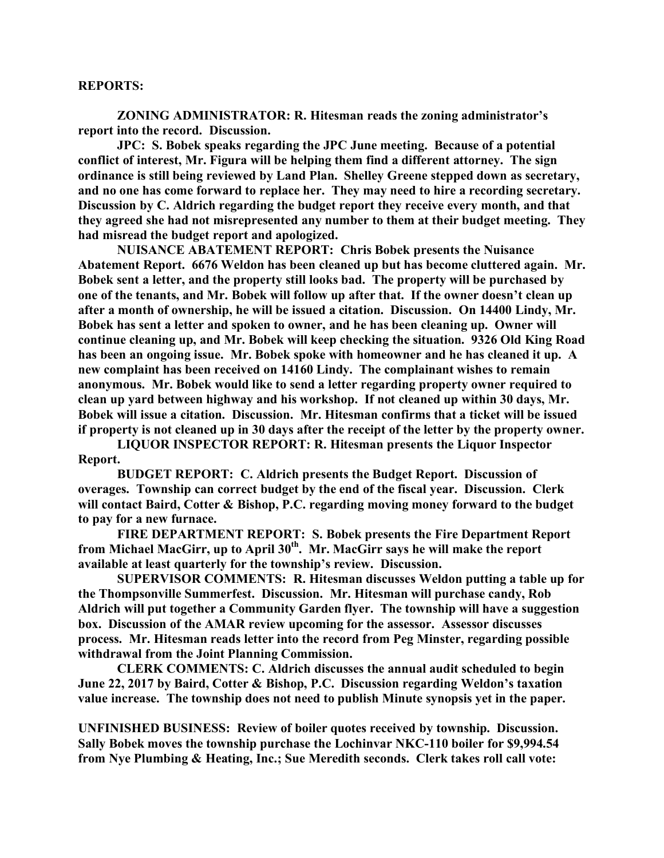## **REPORTS:**

**ZONING ADMINISTRATOR: R. Hitesman reads the zoning administrator's report into the record. Discussion.**

**JPC: S. Bobek speaks regarding the JPC June meeting. Because of a potential conflict of interest, Mr. Figura will be helping them find a different attorney. The sign ordinance is still being reviewed by Land Plan. Shelley Greene stepped down as secretary, and no one has come forward to replace her. They may need to hire a recording secretary. Discussion by C. Aldrich regarding the budget report they receive every month, and that they agreed she had not misrepresented any number to them at their budget meeting. They had misread the budget report and apologized.**

**NUISANCE ABATEMENT REPORT: Chris Bobek presents the Nuisance Abatement Report. 6676 Weldon has been cleaned up but has become cluttered again. Mr. Bobek sent a letter, and the property still looks bad. The property will be purchased by one of the tenants, and Mr. Bobek will follow up after that. If the owner doesn't clean up after a month of ownership, he will be issued a citation. Discussion. On 14400 Lindy, Mr. Bobek has sent a letter and spoken to owner, and he has been cleaning up. Owner will continue cleaning up, and Mr. Bobek will keep checking the situation. 9326 Old King Road has been an ongoing issue. Mr. Bobek spoke with homeowner and he has cleaned it up. A new complaint has been received on 14160 Lindy. The complainant wishes to remain anonymous. Mr. Bobek would like to send a letter regarding property owner required to clean up yard between highway and his workshop. If not cleaned up within 30 days, Mr. Bobek will issue a citation. Discussion. Mr. Hitesman confirms that a ticket will be issued if property is not cleaned up in 30 days after the receipt of the letter by the property owner.**

**LIQUOR INSPECTOR REPORT: R. Hitesman presents the Liquor Inspector Report.**

**BUDGET REPORT: C. Aldrich presents the Budget Report. Discussion of overages. Township can correct budget by the end of the fiscal year. Discussion. Clerk will contact Baird, Cotter & Bishop, P.C. regarding moving money forward to the budget to pay for a new furnace.**

**FIRE DEPARTMENT REPORT: S. Bobek presents the Fire Department Report from Michael MacGirr, up to April 30th. Mr. MacGirr says he will make the report available at least quarterly for the township's review. Discussion.**

**SUPERVISOR COMMENTS: R. Hitesman discusses Weldon putting a table up for the Thompsonville Summerfest. Discussion. Mr. Hitesman will purchase candy, Rob Aldrich will put together a Community Garden flyer. The township will have a suggestion box. Discussion of the AMAR review upcoming for the assessor. Assessor discusses process. Mr. Hitesman reads letter into the record from Peg Minster, regarding possible withdrawal from the Joint Planning Commission.**

**CLERK COMMENTS: C. Aldrich discusses the annual audit scheduled to begin June 22, 2017 by Baird, Cotter & Bishop, P.C. Discussion regarding Weldon's taxation value increase. The township does not need to publish Minute synopsis yet in the paper.**

**UNFINISHED BUSINESS: Review of boiler quotes received by township. Discussion. Sally Bobek moves the township purchase the Lochinvar NKC-110 boiler for \$9,994.54 from Nye Plumbing & Heating, Inc.; Sue Meredith seconds. Clerk takes roll call vote:**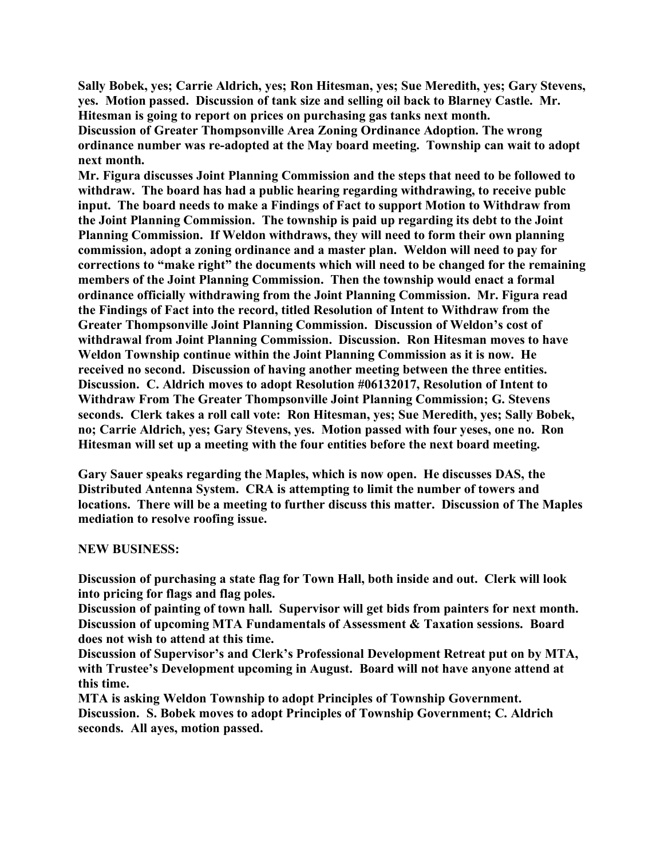**Sally Bobek, yes; Carrie Aldrich, yes; Ron Hitesman, yes; Sue Meredith, yes; Gary Stevens, yes. Motion passed. Discussion of tank size and selling oil back to Blarney Castle. Mr. Hitesman is going to report on prices on purchasing gas tanks next month.**

**Discussion of Greater Thompsonville Area Zoning Ordinance Adoption. The wrong ordinance number was re-adopted at the May board meeting. Township can wait to adopt next month.**

**Mr. Figura discusses Joint Planning Commission and the steps that need to be followed to withdraw. The board has had a public hearing regarding withdrawing, to receive publc input. The board needs to make a Findings of Fact to support Motion to Withdraw from the Joint Planning Commission. The township is paid up regarding its debt to the Joint Planning Commission. If Weldon withdraws, they will need to form their own planning commission, adopt a zoning ordinance and a master plan. Weldon will need to pay for corrections to "make right" the documents which will need to be changed for the remaining members of the Joint Planning Commission. Then the township would enact a formal ordinance officially withdrawing from the Joint Planning Commission. Mr. Figura read the Findings of Fact into the record, titled Resolution of Intent to Withdraw from the Greater Thompsonville Joint Planning Commission. Discussion of Weldon's cost of withdrawal from Joint Planning Commission. Discussion. Ron Hitesman moves to have Weldon Township continue within the Joint Planning Commission as it is now. He received no second. Discussion of having another meeting between the three entities. Discussion. C. Aldrich moves to adopt Resolution #06132017, Resolution of Intent to Withdraw From The Greater Thompsonville Joint Planning Commission; G. Stevens seconds. Clerk takes a roll call vote: Ron Hitesman, yes; Sue Meredith, yes; Sally Bobek, no; Carrie Aldrich, yes; Gary Stevens, yes. Motion passed with four yeses, one no. Ron Hitesman will set up a meeting with the four entities before the next board meeting.**

**Gary Sauer speaks regarding the Maples, which is now open. He discusses DAS, the Distributed Antenna System. CRA is attempting to limit the number of towers and locations. There will be a meeting to further discuss this matter. Discussion of The Maples mediation to resolve roofing issue.**

## **NEW BUSINESS:**

**Discussion of purchasing a state flag for Town Hall, both inside and out. Clerk will look into pricing for flags and flag poles.**

**Discussion of painting of town hall. Supervisor will get bids from painters for next month. Discussion of upcoming MTA Fundamentals of Assessment & Taxation sessions. Board does not wish to attend at this time.**

**Discussion of Supervisor's and Clerk's Professional Development Retreat put on by MTA, with Trustee's Development upcoming in August. Board will not have anyone attend at this time.**

**MTA is asking Weldon Township to adopt Principles of Township Government. Discussion. S. Bobek moves to adopt Principles of Township Government; C. Aldrich seconds. All ayes, motion passed.**